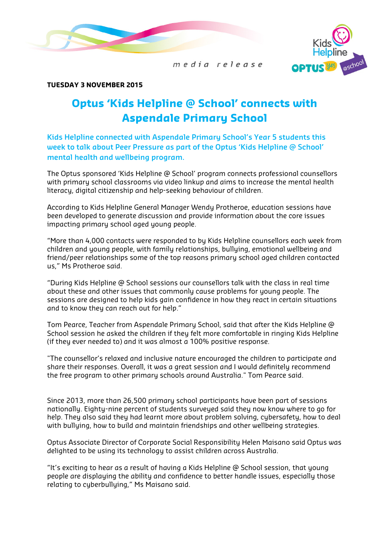



media release

## TUESDAY 3 NOVEMBER 2015

## Optus 'Kids Helpline @ School' connects with Aspendale Primary School

Kids Helpline connected with Aspendale Primary School's Year 5 students this week to talk about Peer Pressure as part of the Optus 'Kids Helpline @ School' mental health and wellbeing program.

The Optus sponsored 'Kids Helpline @ School' program connects professional counsellors with primary school classrooms via video linkup and aims to increase the mental health literacy, digital citizenship and help-seeking behaviour of children.

According to Kids Helpline General Manager Wendy Protheroe, education sessions have been developed to generate discussion and provide information about the core issues impacting primary school aged young people.

"More than 4,000 contacts were responded to by Kids Helpline counsellors each week from children and young people, with family relationships, bullying, emotional wellbeing and friend/peer relationships some of the top reasons primary school aged children contacted us," Ms Protheroe said.

"During Kids Helpline @ School sessions our counsellors talk with the class in real time about these and other issues that commonly cause problems for young people. The sessions are designed to help kids gain confidence in how they react in certain situations and to know they can reach out for help."

Tom Pearce, Teacher from Aspendale Primary School, said that after the Kids Helpline @ School session he asked the children if they felt more comfortable in ringing Kids Helpline (if they ever needed to) and it was almost a 100% positive response.

"The counsellor's relaxed and inclusive nature encouraged the children to participate and share their responses. Overall, it was a great session and I would definitely recommend the free program to other primary schools around Australia." Tom Pearce said.

Since 2013, more than 26,500 primary school participants have been part of sessions nationally. Eighty-nine percent of students surveyed said they now know where to go for help. They also said they had learnt more about problem solving, cybersafety, how to deal with bulluing, how to build and maintain friendships and other wellbeing strategies.

Optus Associate Director of Corporate Social Responsibility Helen Maisano said Optus was delighted to be using its technology to assist children across Australia.

"It's exciting to hear as a result of having a Kids Helpline @ School session, that young people are displaying the ability and confidence to better handle issues, especially those relating to cyberbullying," Ms Maisano said.